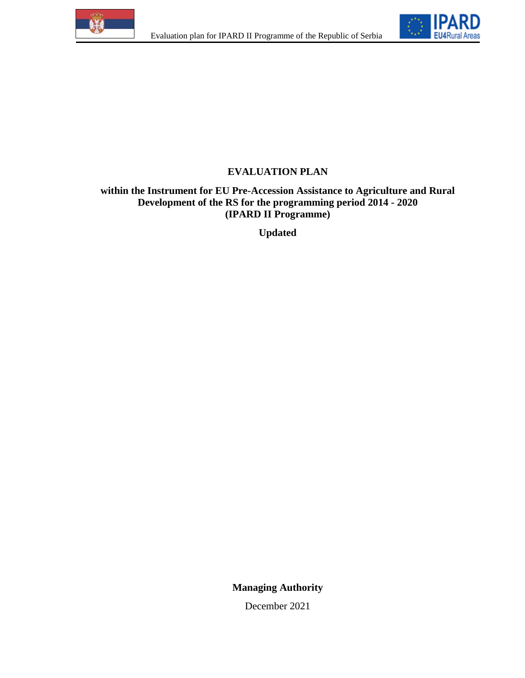



# **EVALUATION PLAN**

## **within the Instrument for EU Pre-Accession Assistance to Agriculture and Rural Development of the RS for the programming period 2014 - 2020 (IPARD II Programme)**

**Updated**

**Managing Authority**

December 2021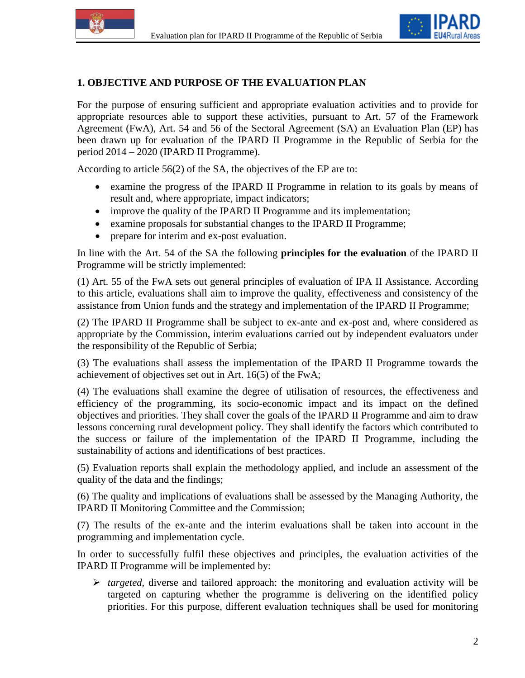



### **1. OBJECTIVE AND PURPOSE OF THE EVALUATION PLAN**

For the purpose of ensuring sufficient and appropriate evaluation activities and to provide for appropriate resources able to support these activities, pursuant to Art. 57 of the Framework Agreement (FwA), Art. 54 and 56 of the Sectoral Agreement (SA) an Evaluation Plan (EP) has been drawn up for evaluation of the IPARD II Programme in the Republic of Serbia for the period 2014 – 2020 (IPARD II Programme).

According to article 56(2) of the SA, the objectives of the EP are to:

- examine the progress of the IPARD II Programme in relation to its goals by means of result and, where appropriate, impact indicators;
- improve the quality of the IPARD II Programme and its implementation;
- examine proposals for substantial changes to the IPARD II Programme;
- prepare for interim and ex-post evaluation.

In line with the Art. 54 of the SA the following **principles for the evaluation** of the IPARD II Programme will be strictly implemented:

(1) Art. 55 of the FwA sets out general principles of evaluation of IPA II Assistance. According to this article, evaluations shall aim to improve the quality, effectiveness and consistency of the assistance from Union funds and the strategy and implementation of the IPARD II Programme;

(2) The IPARD II Programme shall be subject to ex-ante and ex-post and, where considered as appropriate by the Commission, interim evaluations carried out by independent evaluators under the responsibility of the Republic of Serbia;

(3) The evaluations shall assess the implementation of the IPARD II Programme towards the achievement of objectives set out in Art. 16(5) of the FwA;

(4) The evaluations shall examine the degree of utilisation of resources, the effectiveness and efficiency of the programming, its socio-economic impact and its impact on the defined objectives and priorities. They shall cover the goals of the IPARD II Programme and aim to draw lessons concerning rural development policy. They shall identify the factors which contributed to the success or failure of the implementation of the IPARD II Programme, including the sustainability of actions and identifications of best practices.

(5) Evaluation reports shall explain the methodology applied, and include an assessment of the quality of the data and the findings;

(6) The quality and implications of evaluations shall be assessed by the Managing Authority, the IPARD II Monitoring Committee and the Commission;

(7) The results of the ex-ante and the interim evaluations shall be taken into account in the programming and implementation cycle.

In order to successfully fulfil these objectives and principles, the evaluation activities of the IPARD II Programme will be implemented by:

 $\triangleright$  *targeted*, diverse and tailored approach: the monitoring and evaluation activity will be targeted on capturing whether the programme is delivering on the identified policy priorities. For this purpose, different evaluation techniques shall be used for monitoring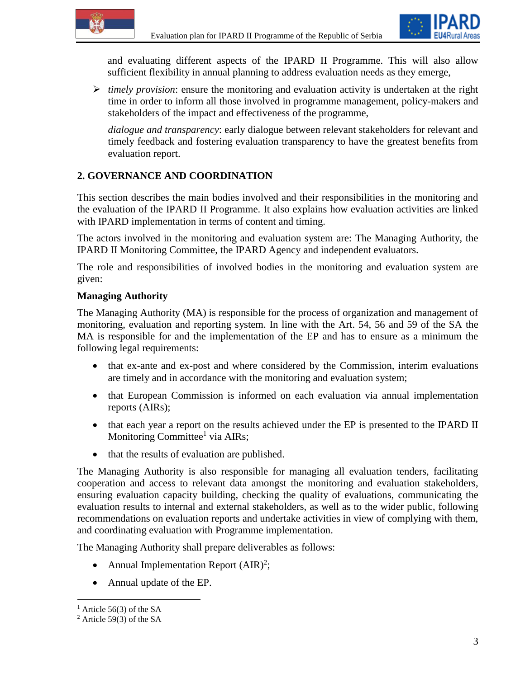

and evaluating different aspects of the IPARD II Programme. This will also allow sufficient flexibility in annual planning to address evaluation needs as they emerge,

 *timely provision*: ensure the monitoring and evaluation activity is undertaken at the right time in order to inform all those involved in programme management, policy-makers and stakeholders of the impact and effectiveness of the programme,

*dialogue and transparency*: early dialogue between relevant stakeholders for relevant and timely feedback and fostering evaluation transparency to have the greatest benefits from evaluation report.

# **2. GOVERNANCE AND COORDINATION**

This section describes the main bodies involved and their responsibilities in the monitoring and the evaluation of the IPARD II Programme. It also explains how evaluation activities are linked with IPARD implementation in terms of content and timing.

The actors involved in the monitoring and evaluation system are: The Managing Authority, the IPARD II Monitoring Committee, the IPARD Agency and independent evaluators.

The role and responsibilities of involved bodies in the monitoring and evaluation system are given:

## **Managing Authority**

The Managing Authority (MA) is responsible for the process of organization and management of monitoring, evaluation and reporting system. In line with the Art. 54, 56 and 59 of the SA the MA is responsible for and the implementation of the EP and has to ensure as a minimum the following legal requirements:

- that ex-ante and ex-post and where considered by the Commission, interim evaluations are timely and in accordance with the monitoring and evaluation system;
- that European Commission is informed on each evaluation via annual implementation reports (AIRs);
- that each year a report on the results achieved under the EP is presented to the IPARD II Monitoring Committee<sup>1</sup> via AIRs;
- that the results of evaluation are published.

The Managing Authority is also responsible for managing all evaluation tenders, facilitating cooperation and access to relevant data amongst the monitoring and evaluation stakeholders, ensuring evaluation capacity building, checking the quality of evaluations, communicating the evaluation results to internal and external stakeholders, as well as to the wider public, following recommendations on evaluation reports and undertake activities in view of complying with them, and coordinating evaluation with Programme implementation.

The Managing Authority shall prepare deliverables as follows:

- Annual Implementation Report  $(AIR)^2$ ;
- Annual update of the EP.

 $\overline{a}$ 

 $<sup>1</sup>$  Article 56(3) of the SA</sup>

 $2$  Article 59(3) of the SA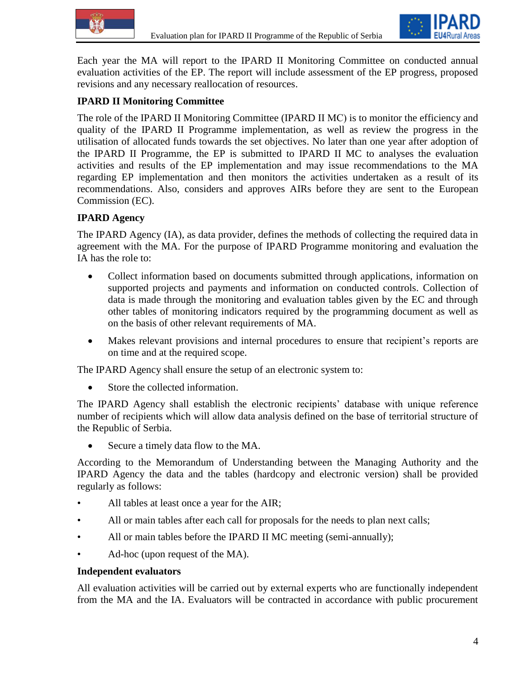



Each year the MA will report to the IPARD II Monitoring Committee on conducted annual evaluation activities of the EP. The report will include assessment of the EP progress, proposed revisions and any necessary reallocation of resources.

## **IPARD II Monitoring Committee**

The role of the IPARD II Monitoring Committee (IPARD II МС) is to monitor the efficiency and quality of the IPARD II Programme implementation, as well as review the progress in the utilisation of allocated funds towards the set objectives. No later than one year after adoption of the IPARD II Programme, the EP is submitted to IPARD II MC to analyses the evaluation activities and results of the EP implementation and may issue recommendations to the MA regarding EP implementation and then monitors the activities undertaken as a result of its recommendations. Also, considers and approves AIRs before they are sent to the European Commission (EC).

#### **IPARD Agency**

The IPARD Agency (IA), as data provider, defines the methods of collecting the required data in agreement with the MA. For the purpose of IPARD Programme monitoring and evaluation the IA has the role to:

- Collect information based on documents submitted through applications, information on supported projects and payments and information on conducted controls. Collection of data is made through the monitoring and evaluation tables given by the EC and through other tables of monitoring indicators required by the programming document as well as on the basis of other relevant requirements of MA.
- Makes relevant provisions and internal procedures to ensure that recipient's reports are on time and at the required scope.

The IPARD Agency shall ensure the setup of an electronic system to:

Store the collected information.

The IPARD Agency shall establish the electronic recipients' database with unique reference number of recipients which will allow data analysis defined on the base of territorial structure of the Republic of Serbia.

Secure a timely data flow to the MA.

According to the Memorandum of Understanding between the Managing Authority and the IPARD Agency the data and the tables (hardcopy and electronic version) shall be provided regularly as follows:

- All tables at least once a year for the AIR;
- All or main tables after each call for proposals for the needs to plan next calls;
- All or main tables before the IPARD II MC meeting (semi-annually);
- Ad-hoc (upon request of the MA).

#### **Independent evaluators**

All evaluation activities will be carried out by external experts who are functionally independent from the MA and the IA. Evaluators will be contracted in accordance with public procurement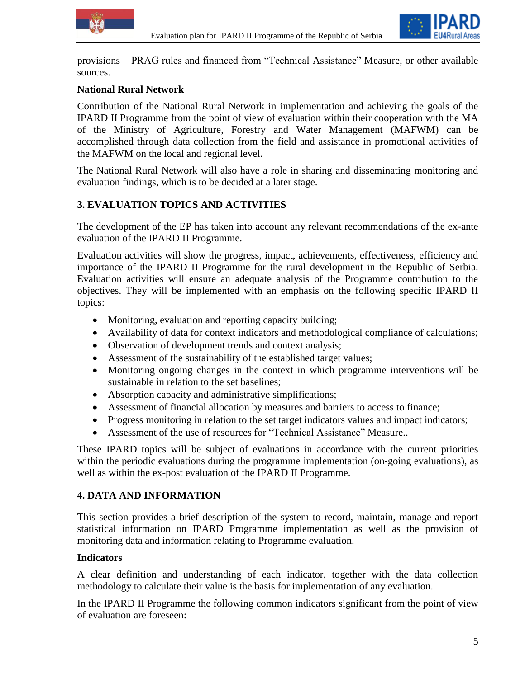



provisions – PRAG rules and financed from "Technical Assistance" Measure, or other available sources.

#### **National Rural Network**

Contribution of the National Rural Network in implementation and achieving the goals of the IPARD II Programme from the point of view of evaluation within their cooperation with the MA of the Ministry of Agriculture, Forestry and Water Management (MAFWM) can be accomplished through data collection from the field and assistance in promotional activities of the МАFWM on the local and regional level.

The National Rural Network will also have a role in sharing and disseminating monitoring and evaluation findings, which is to be decided at a later stage.

### **3. EVALUATION TOPICS AND ACTIVITIES**

The development of the EP has taken into account any relevant recommendations of the ex-ante evaluation of the IPARD II Programme.

Evaluation activities will show the progress, impact, achievements, effectiveness, efficiency and importance of the IPARD II Programme for the rural development in the Republic of Serbia. Evaluation activities will ensure an adequate analysis of the Programme contribution to the objectives. They will be implemented with an emphasis on the following specific IPARD II topics:

- Monitoring, evaluation and reporting capacity building;
- Availability of data for context indicators and methodological compliance of calculations;
- Observation of development trends and context analysis;
- Assessment of the sustainability of the established target values;
- Monitoring ongoing changes in the context in which programme interventions will be sustainable in relation to the set baselines;
- Absorption capacity and administrative simplifications;
- Assessment of financial allocation by measures and barriers to access to finance;
- Progress monitoring in relation to the set target indicators values and impact indicators;
- Assessment of the use of resources fоr "Technical Assistance" Measure..

These IPARD topics will be subject of evaluations in accordance with the current priorities within the periodic evaluations during the programme implementation (on-going evaluations), as well as within the ex-post evaluation of the IPARD II Programme.

### **4. DATA AND INFORMATION**

This section provides a brief description of the system to record, maintain, manage and report statistical information on IPARD Programme implementation as well as the provision of monitoring data and information relating to Programme evaluation.

#### **Indicators**

A clear definition and understanding of each indicator, together with the data collection methodology to calculate their value is the basis for implementation of any evaluation.

In the IPARD II Programme the following common indicators significant from the point of view of evaluation are foreseen: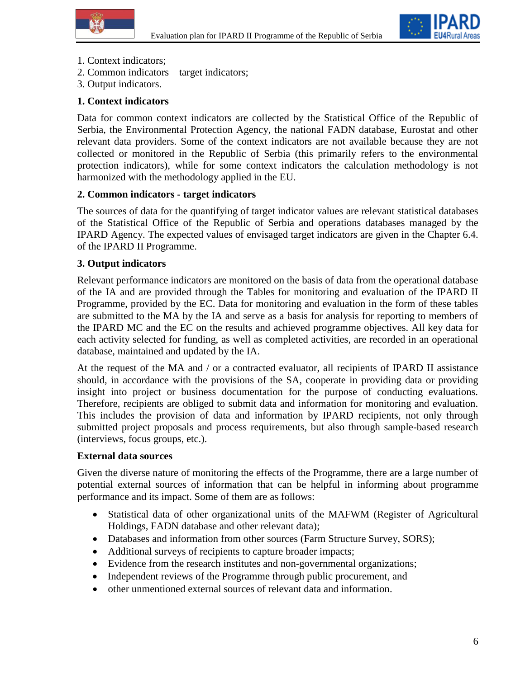



- 1. Context indicators;
- 2. Common indicators target indicators;
- 3. Output indicators.

### **1. Context indicators**

Data for common context indicators are collected by the Statistical Office of the Republic of Serbia, the Environmental Protection Agency, the national FADN database, Eurostat and other relevant data providers. Some of the context indicators are not available because they are not collected or monitored in the Republic of Serbia (this primarily refers to the environmental protection indicators), while for some context indicators the calculation methodology is not harmonized with the methodology applied in the EU.

#### **2. Common indicators - target indicators**

The sources of data for the quantifying of target indicator values are relevant statistical databases of the Statistical Office of the Republic of Serbia and operations databases managed by the IPARD Agency. The expected values of envisaged target indicators are given in the Chapter 6.4. of the IPARD II Programme.

#### **3. Output indicators**

Relevant performance indicators are monitored on the basis of data from the operational database of the IA and are provided through the Tables for monitoring and evaluation of the IPARD II Programme, provided by the EC. Data for monitoring and evaluation in the form of these tables are submitted to the MA by the IA and serve as a basis for analysis for reporting to members of the IPARD MC and the EC on the results and achieved programme objectives. All key data for each activity selected for funding, as well as completed activities, are recorded in an operational database, maintained and updated by the IA.

At the request of the MA and / or a contracted evaluator, all recipients of IPARD II assistance should, in accordance with the provisions of the SA, cooperate in providing data or providing insight into project or business documentation for the purpose of conducting evaluations. Therefore, recipients are obliged to submit data and information for monitoring and evaluation. This includes the provision of data and information by IPARD recipients, not only through submitted project proposals and process requirements, but also through sample-based research (interviews, focus groups, etc.).

#### **External data sources**

Given the diverse nature of monitoring the effects of the Programme, there are a large number of potential external sources of information that can be helpful in informing about programme performance and its impact. Some of them are as follows:

- Statistical data of other organizational units of the MAFWM (Register of Agricultural Holdings, FADN database and other relevant data);
- Databases and information from other sources (Farm Structure Survey, SORS);
- Additional surveys of recipients to capture broader impacts;
- Evidence from the research institutes and non-governmental organizations;
- Independent reviews of the Programme through public procurement, and
- other unmentioned external sources of relevant data and information.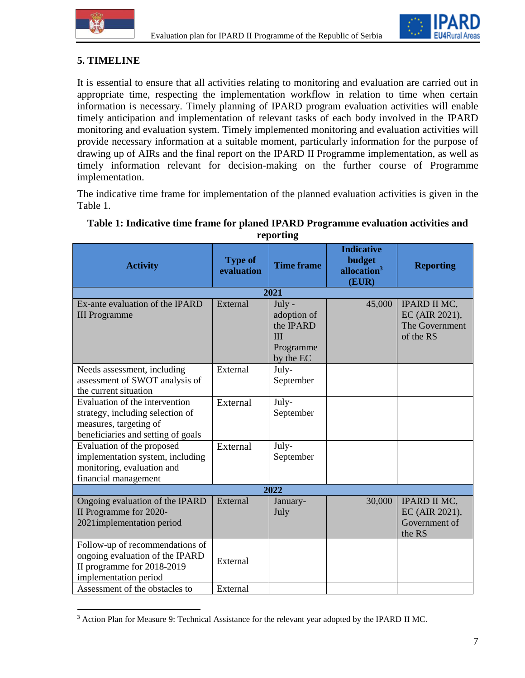



# **5. TIMELINE**

 $\overline{a}$ 

It is essential to ensure that all activities relating to monitoring and evaluation are carried out in appropriate time, respecting the implementation workflow in relation to time when certain information is necessary. Timely planning of IPARD program evaluation activities will enable timely anticipation and implementation of relevant tasks of each body involved in the IPARD monitoring and evaluation system. Timely implemented monitoring and evaluation activities will provide necessary information at a suitable moment, particularly information for the purpose of drawing up of AIRs and the final report on the IPARD II Programme implementation, as well as timely information relevant for decision-making on the further course of Programme implementation.

The indicative time frame for implementation of the planned evaluation activities is given in the Table 1.

| <b>Activity</b>                                                                                                                                             | <b>Type of</b><br>evaluation | <b>Time frame</b>                                                              | <b>Indicative</b><br>budget<br>allocation <sup>3</sup><br>(EUR) | <b>Reporting</b>                                              |  |  |  |
|-------------------------------------------------------------------------------------------------------------------------------------------------------------|------------------------------|--------------------------------------------------------------------------------|-----------------------------------------------------------------|---------------------------------------------------------------|--|--|--|
| 2021                                                                                                                                                        |                              |                                                                                |                                                                 |                                                               |  |  |  |
| Ex-ante evaluation of the IPARD<br><b>III</b> Programme                                                                                                     | External                     | July -<br>adoption of<br>the IPARD<br>$\mathbf{III}$<br>Programme<br>by the EC | 45,000                                                          | IPARD II MC,<br>EC (AIR 2021),<br>The Government<br>of the RS |  |  |  |
| Needs assessment, including<br>assessment of SWOT analysis of<br>the current situation                                                                      | External                     | July-<br>September                                                             |                                                                 |                                                               |  |  |  |
| Evaluation of the intervention<br>strategy, including selection of<br>measures, targeting of<br>beneficiaries and setting of goals                          | External                     | July-<br>September                                                             |                                                                 |                                                               |  |  |  |
| Evaluation of the proposed<br>implementation system, including<br>monitoring, evaluation and<br>financial management                                        | External                     | July-<br>September                                                             |                                                                 |                                                               |  |  |  |
| 2022                                                                                                                                                        |                              |                                                                                |                                                                 |                                                               |  |  |  |
| Ongoing evaluation of the IPARD<br>II Programme for 2020-<br>2021implementation period                                                                      | External                     | January-<br>July                                                               | 30,000                                                          | IPARD II MC,<br>EC (AIR 2021),<br>Government of<br>the RS     |  |  |  |
| Follow-up of recommendations of<br>ongoing evaluation of the IPARD<br>II programme for 2018-2019<br>implementation period<br>Assessment of the obstacles to | External<br>External         |                                                                                |                                                                 |                                                               |  |  |  |

#### **Table 1: Indicative time frame for planed IPARD Programme evaluation activities and reporting**

<sup>&</sup>lt;sup>3</sup> Action Plan for Measure 9: Technical Assistance for the relevant year adopted by the IPARD II MC.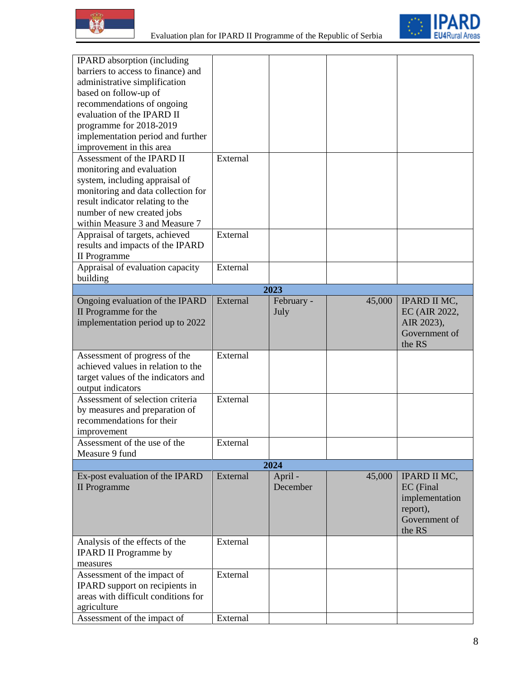



| <b>IPARD</b> absorption (including  |          |            |        |                     |  |  |  |  |
|-------------------------------------|----------|------------|--------|---------------------|--|--|--|--|
| barriers to access to finance) and  |          |            |        |                     |  |  |  |  |
| administrative simplification       |          |            |        |                     |  |  |  |  |
| based on follow-up of               |          |            |        |                     |  |  |  |  |
| recommendations of ongoing          |          |            |        |                     |  |  |  |  |
| evaluation of the IPARD II          |          |            |        |                     |  |  |  |  |
| programme for 2018-2019             |          |            |        |                     |  |  |  |  |
| implementation period and further   |          |            |        |                     |  |  |  |  |
| improvement in this area            |          |            |        |                     |  |  |  |  |
| Assessment of the IPARD II          | External |            |        |                     |  |  |  |  |
| monitoring and evaluation           |          |            |        |                     |  |  |  |  |
| system, including appraisal of      |          |            |        |                     |  |  |  |  |
| monitoring and data collection for  |          |            |        |                     |  |  |  |  |
| result indicator relating to the    |          |            |        |                     |  |  |  |  |
| number of new created jobs          |          |            |        |                     |  |  |  |  |
| within Measure 3 and Measure 7      |          |            |        |                     |  |  |  |  |
| Appraisal of targets, achieved      | External |            |        |                     |  |  |  |  |
| results and impacts of the IPARD    |          |            |        |                     |  |  |  |  |
| II Programme                        |          |            |        |                     |  |  |  |  |
| Appraisal of evaluation capacity    | External |            |        |                     |  |  |  |  |
| building                            |          |            |        |                     |  |  |  |  |
| 2023                                |          |            |        |                     |  |  |  |  |
| Ongoing evaluation of the IPARD     | External | February - | 45,000 | <b>IPARD II MC,</b> |  |  |  |  |
| II Programme for the                |          | July       |        | EC (AIR 2022,       |  |  |  |  |
| implementation period up to 2022    |          |            |        | AIR 2023),          |  |  |  |  |
|                                     |          |            |        | Government of       |  |  |  |  |
|                                     |          |            |        | the RS              |  |  |  |  |
| Assessment of progress of the       | External |            |        |                     |  |  |  |  |
| achieved values in relation to the  |          |            |        |                     |  |  |  |  |
| target values of the indicators and |          |            |        |                     |  |  |  |  |
| output indicators                   |          |            |        |                     |  |  |  |  |
| Assessment of selection criteria    | External |            |        |                     |  |  |  |  |
| by measures and preparation of      |          |            |        |                     |  |  |  |  |
| recommendations for their           |          |            |        |                     |  |  |  |  |
| improvement                         |          |            |        |                     |  |  |  |  |
| Assessment of the use of the        | External |            |        |                     |  |  |  |  |
| Measure 9 fund                      |          |            |        |                     |  |  |  |  |
| 2024                                |          |            |        |                     |  |  |  |  |
| Ex-post evaluation of the IPARD     | External | April -    | 45,000 | <b>IPARD II MC,</b> |  |  |  |  |
| <b>II</b> Programme                 |          | December   |        | EC (Final           |  |  |  |  |
|                                     |          |            |        | implementation      |  |  |  |  |
|                                     |          |            |        | report),            |  |  |  |  |
|                                     |          |            |        | Government of       |  |  |  |  |
|                                     |          |            |        | the RS              |  |  |  |  |
| Analysis of the effects of the      | External |            |        |                     |  |  |  |  |
| <b>IPARD II Programme by</b>        |          |            |        |                     |  |  |  |  |
| measures                            |          |            |        |                     |  |  |  |  |
| Assessment of the impact of         | External |            |        |                     |  |  |  |  |
| IPARD support on recipients in      |          |            |        |                     |  |  |  |  |
| areas with difficult conditions for |          |            |        |                     |  |  |  |  |
| agriculture                         |          |            |        |                     |  |  |  |  |
| Assessment of the impact of         | External |            |        |                     |  |  |  |  |
|                                     |          |            |        |                     |  |  |  |  |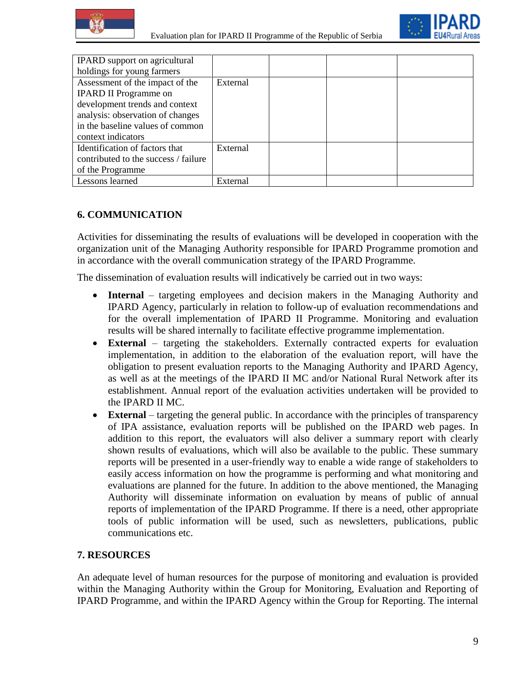



| IPARD support on agricultural        |          |  |  |
|--------------------------------------|----------|--|--|
| holdings for young farmers           |          |  |  |
| Assessment of the impact of the      | External |  |  |
| <b>IPARD II Programme on</b>         |          |  |  |
| development trends and context       |          |  |  |
| analysis: observation of changes     |          |  |  |
| in the baseline values of common     |          |  |  |
| context indicators                   |          |  |  |
| Identification of factors that       | External |  |  |
| contributed to the success / failure |          |  |  |
| of the Programme                     |          |  |  |
| Lessons learned                      | External |  |  |

### **6. COMMUNICATION**

Activities for disseminating the results of evaluations will be developed in cooperation with the organization unit of the Managing Authority responsible for IPARD Programme promotion and in accordance with the overall communication strategy of the IPARD Programme.

The dissemination of evaluation results will indicatively be carried out in two ways:

- **Internal** targeting employees and decision makers in the Managing Authority and IPARD Agency, particularly in relation to follow-up of evaluation recommendations and for the overall implementation of IPARD II Programme. Monitoring and evaluation results will be shared internally to facilitate effective programme implementation.
- **External** targeting the stakeholders. Externally contracted experts for evaluation implementation, in addition to the elaboration of the evaluation report, will have the obligation to present evaluation reports to the Managing Authority and IPARD Agency, as well as at the meetings of the IPARD II MC and/or National Rural Network after its establishment. Annual report of the evaluation activities undertaken will be provided to the IPARD II MC.
- **External** targeting the general public. In accordance with the principles of transparency of IPA assistance, evaluation reports will be published on the IPARD web pages. In addition to this report, the evaluators will also deliver a summary report with clearly shown results of evaluations, which will also be available to the public. These summary reports will be presented in a user-friendly way to enable a wide range of stakeholders to easily access information on how the programme is performing and what monitoring and evaluations are planned for the future. In addition to the above mentioned, the Managing Authority will disseminate information on evaluation by means of public of annual reports of implementation of the IPARD Programme. If there is a need, other appropriate tools of public information will be used, such as newsletters, publications, public communications etc.

### **7. RESOURCES**

An adequate level of human resources for the purpose of monitoring and evaluation is provided within the Managing Authority within the Group for Monitoring, Evaluation and Reporting of IPARD Programme, and within the IPARD Agency within the Group for Reporting. The internal